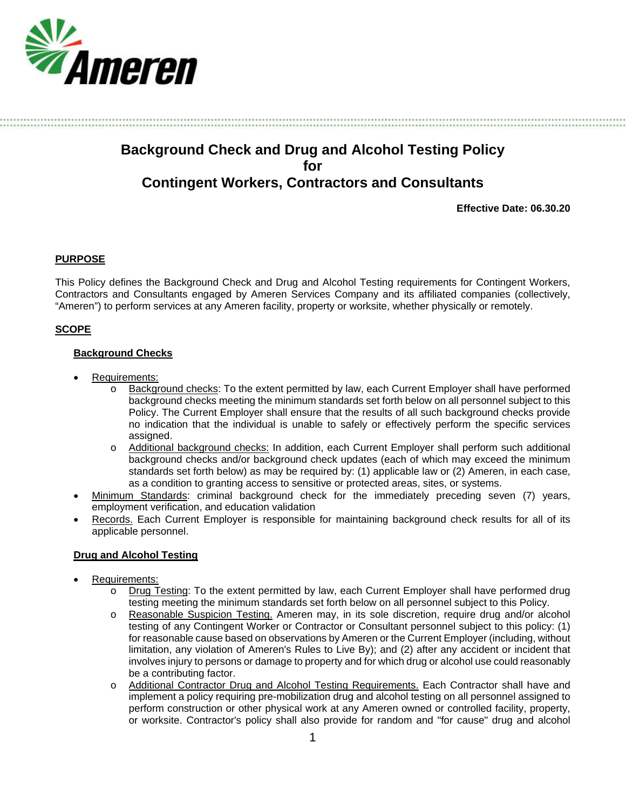

# **Background Check and Drug and Alcohol Testing Policy for Contingent Workers, Contractors and Consultants**

**Effective Date: 06.30.20**

## **PURPOSE**

This Policy defines the Background Check and Drug and Alcohol Testing requirements for Contingent Workers, Contractors and Consultants engaged by Ameren Services Company and its affiliated companies (collectively, "Ameren") to perform services at any Ameren facility, property or worksite, whether physically or remotely.

## **SCOPE**

## **Background Checks**

- Requirements:
	- o Background checks: To the extent permitted by law, each Current Employer shall have performed background checks meeting the minimum standards set forth below on all personnel subject to this Policy. The Current Employer shall ensure that the results of all such background checks provide no indication that the individual is unable to safely or effectively perform the specific services assigned.
	- o Additional background checks: In addition, each Current Employer shall perform such additional background checks and/or background check updates (each of which may exceed the minimum standards set forth below) as may be required by: (1) applicable law or (2) Ameren, in each case, as a condition to granting access to sensitive or protected areas, sites, or systems.
- Minimum Standards: criminal background check for the immediately preceding seven (7) years, employment verification, and education validation
- Records. Each Current Employer is responsible for maintaining background check results for all of its applicable personnel.

## **Drug and Alcohol Testing**

- Requirements:
	- o Drug Testing: To the extent permitted by law, each Current Employer shall have performed drug testing meeting the minimum standards set forth below on all personnel subject to this Policy.
	- o Reasonable Suspicion Testing. Ameren may, in its sole discretion, require drug and/or alcohol testing of any Contingent Worker or Contractor or Consultant personnel subject to this policy: (1) for reasonable cause based on observations by Ameren or the Current Employer (including, without limitation, any violation of Ameren's Rules to Live By); and (2) after any accident or incident that involves injury to persons or damage to property and for which drug or alcohol use could reasonably be a contributing factor.
	- o Additional Contractor Drug and Alcohol Testing Requirements. Each Contractor shall have and implement a policy requiring pre-mobilization drug and alcohol testing on all personnel assigned to perform construction or other physical work at any Ameren owned or controlled facility, property, or worksite. Contractor's policy shall also provide for random and "for cause" drug and alcohol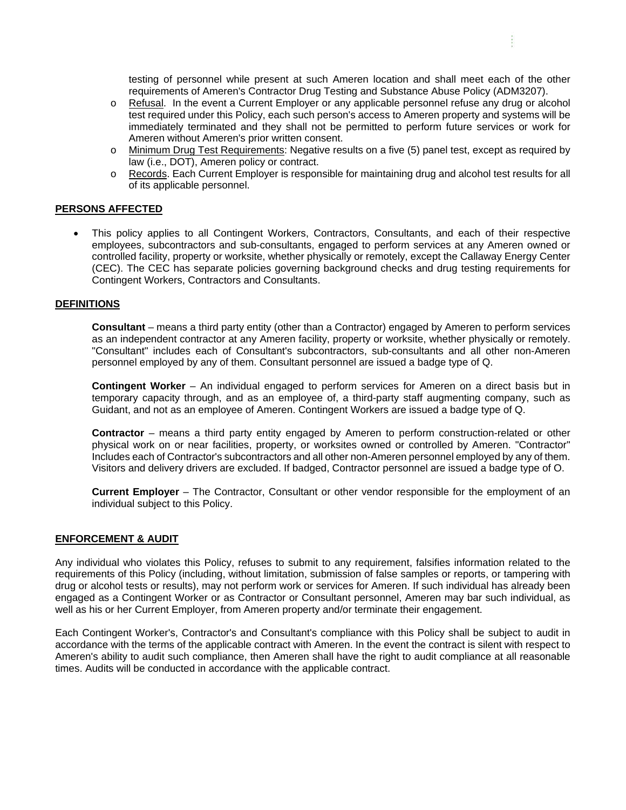testing of personnel while present at such Ameren location and shall meet each of the other requirements of Ameren's Contractor Drug Testing and Substance Abuse Policy (ADM3207).

÷.

- o Refusal. In the event a Current Employer or any applicable personnel refuse any drug or alcohol test required under this Policy, each such person's access to Ameren property and systems will be immediately terminated and they shall not be permitted to perform future services or work for Ameren without Ameren's prior written consent.
- o Minimum Drug Test Requirements: Negative results on a five (5) panel test, except as required by law (i.e., DOT), Ameren policy or contract.
- o Records. Each Current Employer is responsible for maintaining drug and alcohol test results for all of its applicable personnel.

#### **PERSONS AFFECTED**

• This policy applies to all Contingent Workers, Contractors, Consultants, and each of their respective employees, subcontractors and sub-consultants, engaged to perform services at any Ameren owned or controlled facility, property or worksite, whether physically or remotely, except the Callaway Energy Center (CEC). The CEC has separate policies governing background checks and drug testing requirements for Contingent Workers, Contractors and Consultants.

#### **DEFINITIONS**

**Consultant** – means a third party entity (other than a Contractor) engaged by Ameren to perform services as an independent contractor at any Ameren facility, property or worksite, whether physically or remotely. "Consultant" includes each of Consultant's subcontractors, sub-consultants and all other non-Ameren personnel employed by any of them. Consultant personnel are issued a badge type of Q.

**Contingent Worker** – An individual engaged to perform services for Ameren on a direct basis but in temporary capacity through, and as an employee of, a third-party staff augmenting company, such as Guidant, and not as an employee of Ameren. Contingent Workers are issued a badge type of Q.

**Contractor** – means a third party entity engaged by Ameren to perform construction-related or other physical work on or near facilities, property, or worksites owned or controlled by Ameren. "Contractor" Includes each of Contractor's subcontractors and all other non-Ameren personnel employed by any of them. Visitors and delivery drivers are excluded. If badged, Contractor personnel are issued a badge type of O.

**Current Employer** – The Contractor, Consultant or other vendor responsible for the employment of an individual subject to this Policy.

#### **ENFORCEMENT & AUDIT**

Any individual who violates this Policy, refuses to submit to any requirement, falsifies information related to the requirements of this Policy (including, without limitation, submission of false samples or reports, or tampering with drug or alcohol tests or results), may not perform work or services for Ameren. If such individual has already been engaged as a Contingent Worker or as Contractor or Consultant personnel, Ameren may bar such individual, as well as his or her Current Employer, from Ameren property and/or terminate their engagement.

Each Contingent Worker's, Contractor's and Consultant's compliance with this Policy shall be subject to audit in accordance with the terms of the applicable contract with Ameren. In the event the contract is silent with respect to Ameren's ability to audit such compliance, then Ameren shall have the right to audit compliance at all reasonable times. Audits will be conducted in accordance with the applicable contract.